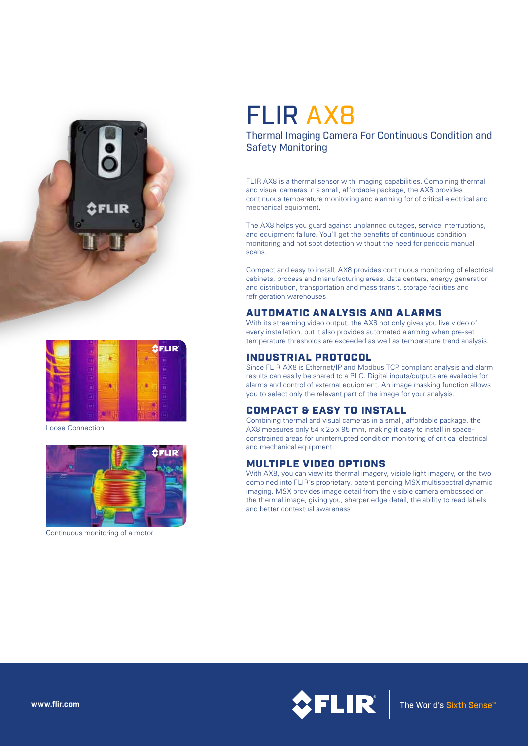



Loose Connection



Continuous monitoring of a motor.

# FLIR AX8

## Thermal Imaging Camera For Continuous Condition and Safety Monitoring

FLIR AX8 is a thermal sensor with imaging capabilities. Combining thermal and visual cameras in a small, affordable package, the AX8 provides continuous temperature monitoring and alarming for of critical electrical and mechanical equipment.

The AX8 helps you guard against unplanned outages, service interruptions, and equipment failure. You'll get the benefits of continuous condition monitoring and hot spot detection without the need for periodic manual scans.

Compact and easy to install, AX8 provides continuous monitoring of electrical cabinets, process and manufacturing areas, data centers, energy generation and distribution, transportation and mass transit, storage facilities and refrigeration warehouses.

#### AUTOMATIC ANALYSIS AND ALARMS

With its streaming video output, the AX8 not only gives you live video of every installation, but it also provides automated alarming when pre-set temperature thresholds are exceeded as well as temperature trend analysis.

#### INDUSTRIAL PROTOCOL

Since FLIR AX8 is Ethernet/IP and Modbus TCP compliant analysis and alarm results can easily be shared to a PLC. Digital inputs/outputs are available for alarms and control of external equipment. An image masking function allows you to select only the relevant part of the image for your analysis.

## COMPACT & EASY TO INSTALL

Combining thermal and visual cameras in a small, affordable package, the AX8 measures only 54 x 25 x 95 mm, making it easy to install in spaceconstrained areas for uninterrupted condition monitoring of critical electrical and mechanical equipment.

## MULTIPLE VIDEO OPTIONS

With AX8, you can view its thermal imagery, visible light imagery, or the two combined into FLIR's proprietary, patent pending MSX multispectral dynamic imaging. MSX provides image detail from the visible camera embossed on the thermal image, giving you, sharper edge detail, the ability to read labels and better contextual awareness